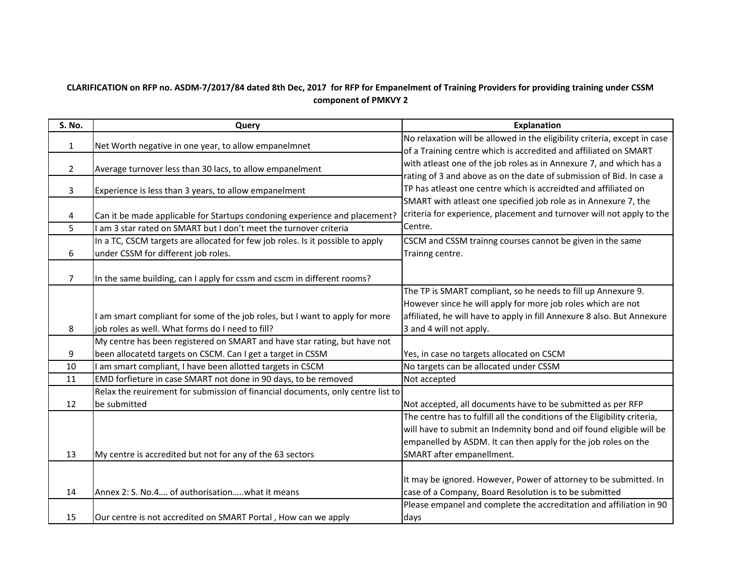## **CLARIFICATION on RFP no. ASDM-7/2017/84 dated 8th Dec, 2017 for RFP for Empanelment of Training Providers for providing training under CSSM component of PMKVY 2**

| S. No.         | Query                                                                           | Explanation                                                               |
|----------------|---------------------------------------------------------------------------------|---------------------------------------------------------------------------|
|                |                                                                                 | No relaxation will be allowed in the eligibility criteria, except in case |
| $\mathbf{1}$   | Net Worth negative in one year, to allow empanelmnet                            | of a Training centre which is accredited and affiliated on SMART          |
| $\mathbf{2}$   | Average turnover less than 30 lacs, to allow empanelment                        | with atleast one of the job roles as in Annexure 7, and which has a       |
|                |                                                                                 | rating of 3 and above as on the date of submission of Bid. In case a      |
| 3              | Experience is less than 3 years, to allow empanelment                           | TP has atleast one centre which is accreidted and affiliated on           |
|                |                                                                                 | SMART with atleast one specified job role as in Annexure 7, the           |
| 4              | Can it be made applicable for Startups condoning experience and placement?      | criteria for experience, placement and turnover will not apply to the     |
| 5              | I am 3 star rated on SMART but I don't meet the turnover criteria               | Centre.                                                                   |
|                | In a TC, CSCM targets are allocated for few job roles. Is it possible to apply  | CSCM and CSSM trainng courses cannot be given in the same                 |
| 6              | under CSSM for different job roles.                                             | Trainng centre.                                                           |
|                |                                                                                 |                                                                           |
| $\overline{7}$ | In the same building, can I apply for cssm and cscm in different rooms?         |                                                                           |
|                |                                                                                 | The TP is SMART compliant, so he needs to fill up Annexure 9.             |
|                |                                                                                 | However since he will apply for more job roles which are not              |
|                | am smart compliant for some of the job roles, but I want to apply for more      | affiliated, he will have to apply in fill Annexure 8 also. But Annexure   |
| 8              | job roles as well. What forms do I need to fill?                                | 3 and 4 will not apply.                                                   |
|                | My centre has been registered on SMART and have star rating, but have not       |                                                                           |
| 9              | been allocatetd targets on CSCM. Can I get a target in CSSM                     | Yes, in case no targets allocated on CSCM                                 |
| 10             | am smart compliant, I have been allotted targets in CSCM                        | No targets can be allocated under CSSM                                    |
| 11             | EMD forfieture in case SMART not done in 90 days, to be removed                 | Not accepted                                                              |
|                | Relax the reuirement for submission of financial documents, only centre list to |                                                                           |
| 12             | be submitted                                                                    | Not accepted, all documents have to be submitted as per RFP               |
|                |                                                                                 | The centre has to fulfill all the conditions of the Eligibility criteria, |
|                |                                                                                 | will have to submit an Indemnity bond and oif found eligible will be      |
|                |                                                                                 | empanelled by ASDM. It can then apply for the job roles on the            |
| 13             | My centre is accredited but not for any of the 63 sectors                       | SMART after empanellment.                                                 |
|                |                                                                                 |                                                                           |
|                |                                                                                 | It may be ignored. However, Power of attorney to be submitted. In         |
| 14             | Annex 2: S. No.4 of authorisationwhat it means                                  | case of a Company, Board Resolution is to be submitted                    |
|                |                                                                                 | Please empanel and complete the accreditation and affiliation in 90       |
| 15             | Our centre is not accredited on SMART Portal, How can we apply                  | days                                                                      |